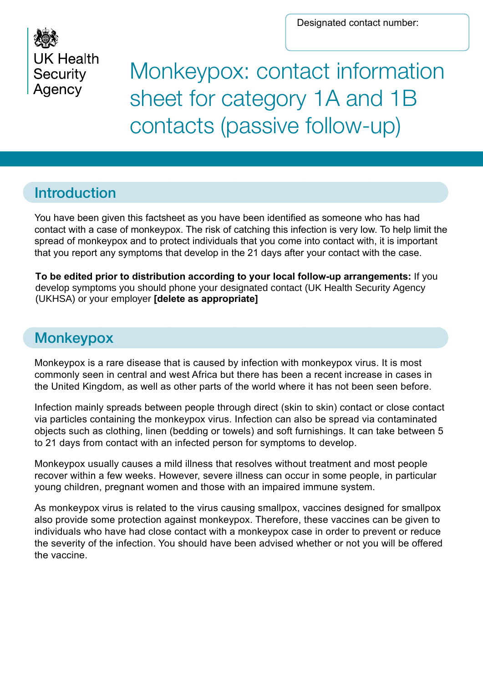Designated contact number:



Monkeypox: contact information sheet for category 1A and 1B contacts (passive follow-up)

# Introduction

You have been given this factsheet as you have been identified as someone who has had contact with a case of monkeypox. The risk of catching this infection is very low. To help limit the spread of monkeypox and to protect individuals that you come into contact with, it is important that you report any symptoms that develop in the 21 days after your contact with the case.

**To be edited prior to distribution according to your local follow-up arrangements:** If you develop symptoms you should phone your designated contact (UK Health Security Agency (UKHSA) or your employer **[delete as appropriate]**

# **Monkeypox**

Monkeypox is a rare disease that is caused by infection with monkeypox virus. It is most commonly seen in central and west Africa but there has been a recent increase in cases in the United Kingdom, as well as other parts of the world where it has not been seen before.

Infection mainly spreads between people through direct (skin to skin) contact or close contact via particles containing the monkeypox virus. Infection can also be spread via contaminated objects such as clothing, linen (bedding or towels) and soft furnishings. It can take between 5 to 21 days from contact with an infected person for symptoms to develop.

Monkeypox usually causes a mild illness that resolves without treatment and most people recover within a few weeks. However, severe illness can occur in some people, in particular young children, pregnant women and those with an impaired immune system.

As monkeypox virus is related to the virus causing smallpox, vaccines designed for smallpox also provide some protection against monkeypox. Therefore, these vaccines can be given to individuals who have had close contact with a monkeypox case in order to prevent or reduce the severity of the infection. You should have been advised whether or not you will be offered the vaccine.